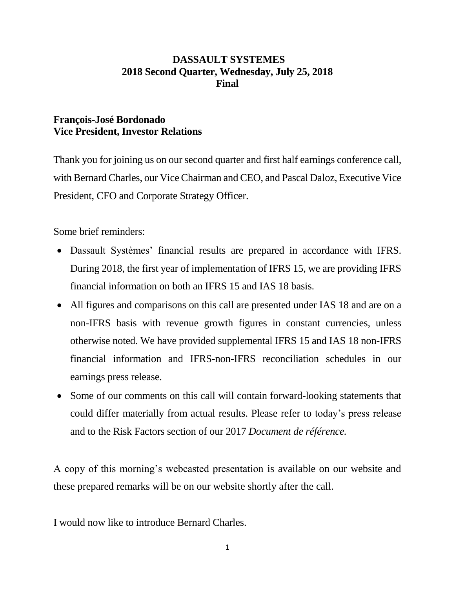# **DASSAULT SYSTEMES 2018 Second Quarter, Wednesday, July 25, 2018 Final**

# **François-José Bordonado Vice President, Investor Relations**

Thank you for joining us on our second quarter and first half earnings conference call, with Bernard Charles, our Vice Chairman and CEO, and Pascal Daloz, Executive Vice President, CFO and Corporate Strategy Officer.

Some brief reminders:

- Dassault Systèmes' financial results are prepared in accordance with IFRS. During 2018, the first year of implementation of IFRS 15, we are providing IFRS financial information on both an IFRS 15 and IAS 18 basis.
- All figures and comparisons on this call are presented under IAS 18 and are on a non-IFRS basis with revenue growth figures in constant currencies, unless otherwise noted. We have provided supplemental IFRS 15 and IAS 18 non-IFRS financial information and IFRS-non-IFRS reconciliation schedules in our earnings press release.
- Some of our comments on this call will contain forward-looking statements that could differ materially from actual results. Please refer to today's press release and to the Risk Factors section of our 2017 *Document de référence.*

A copy of this morning's webcasted presentation is available on our website and these prepared remarks will be on our website shortly after the call.

I would now like to introduce Bernard Charles.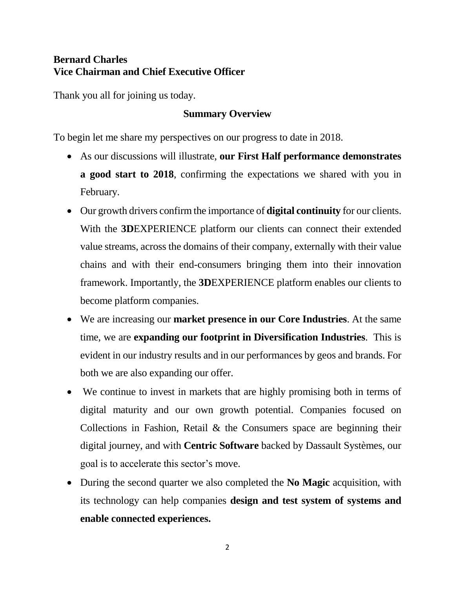# **Bernard Charles Vice Chairman and Chief Executive Officer**

Thank you all for joining us today.

# **Summary Overview**

To begin let me share my perspectives on our progress to date in 2018.

- As our discussions will illustrate, **our First Half performance demonstrates a good start to 2018**, confirming the expectations we shared with you in February.
- Our growth drivers confirm the importance of **digital continuity** for our clients. With the **3D**EXPERIENCE platform our clients can connect their extended value streams, across the domains of their company, externally with their value chains and with their end-consumers bringing them into their innovation framework. Importantly, the **3D**EXPERIENCE platform enables our clients to become platform companies.
- We are increasing our **market presence in our Core Industries**. At the same time, we are **expanding our footprint in Diversification Industries**. This is evident in our industry results and in our performances by geos and brands. For both we are also expanding our offer.
- We continue to invest in markets that are highly promising both in terms of digital maturity and our own growth potential. Companies focused on Collections in Fashion, Retail & the Consumers space are beginning their digital journey, and with **Centric Software** backed by Dassault Systèmes, our goal is to accelerate this sector's move.
- During the second quarter we also completed the **No Magic** acquisition, with its technology can help companies **design and test system of systems and enable connected experiences.**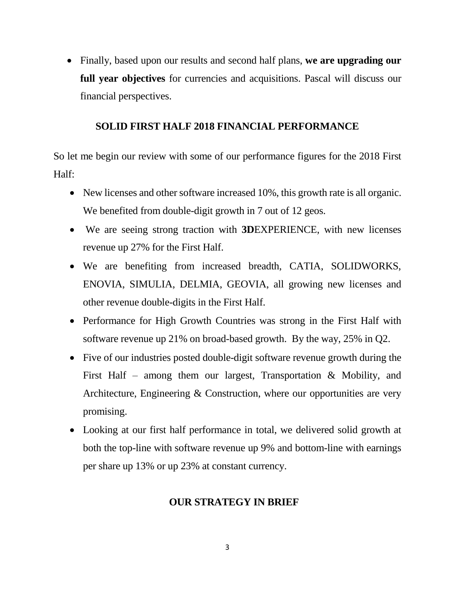Finally, based upon our results and second half plans, **we are upgrading our full year objectives** for currencies and acquisitions. Pascal will discuss our financial perspectives.

## **SOLID FIRST HALF 2018 FINANCIAL PERFORMANCE**

So let me begin our review with some of our performance figures for the 2018 First Half:

- New licenses and other software increased 10%, this growth rate is all organic. We benefited from double-digit growth in 7 out of 12 geos.
- We are seeing strong traction with **3D**EXPERIENCE, with new licenses revenue up 27% for the First Half.
- We are benefiting from increased breadth, CATIA, SOLIDWORKS, ENOVIA, SIMULIA, DELMIA, GEOVIA, all growing new licenses and other revenue double-digits in the First Half.
- Performance for High Growth Countries was strong in the First Half with software revenue up 21% on broad-based growth. By the way, 25% in Q2.
- Five of our industries posted double-digit software revenue growth during the First Half – among them our largest, Transportation & Mobility, and Architecture, Engineering & Construction, where our opportunities are very promising.
- Looking at our first half performance in total, we delivered solid growth at both the top-line with software revenue up 9% and bottom-line with earnings per share up 13% or up 23% at constant currency.

## **OUR STRATEGY IN BRIEF**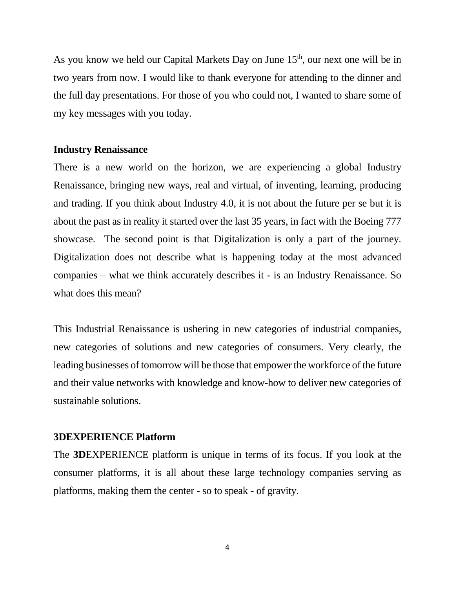As you know we held our Capital Markets Day on June  $15<sup>th</sup>$ , our next one will be in two years from now. I would like to thank everyone for attending to the dinner and the full day presentations. For those of you who could not, I wanted to share some of my key messages with you today.

#### **Industry Renaissance**

There is a new world on the horizon, we are experiencing a global Industry Renaissance, bringing new ways, real and virtual, of inventing, learning, producing and trading. If you think about Industry 4.0, it is not about the future per se but it is about the past as in reality it started over the last 35 years, in fact with the Boeing 777 showcase. The second point is that Digitalization is only a part of the journey. Digitalization does not describe what is happening today at the most advanced companies – what we think accurately describes it - is an Industry Renaissance. So what does this mean?

This Industrial Renaissance is ushering in new categories of industrial companies, new categories of solutions and new categories of consumers. Very clearly, the leading businesses of tomorrow will be those that empower the workforce of the future and their value networks with knowledge and know-how to deliver new categories of sustainable solutions.

#### **3DEXPERIENCE Platform**

The **3D**EXPERIENCE platform is unique in terms of its focus. If you look at the consumer platforms, it is all about these large technology companies serving as platforms, making them the center - so to speak - of gravity.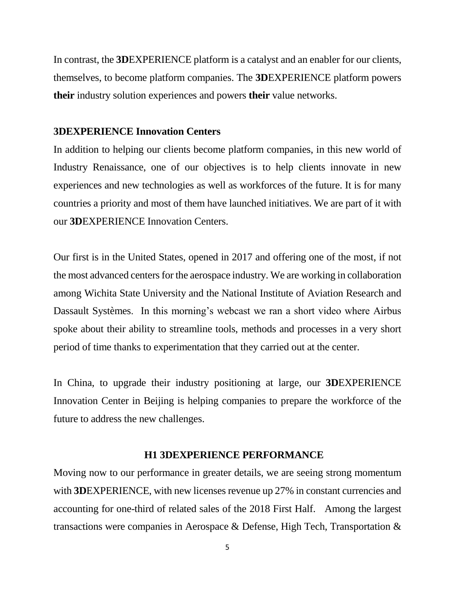In contrast, the **3D**EXPERIENCE platform is a catalyst and an enabler for our clients, themselves, to become platform companies. The **3D**EXPERIENCE platform powers **their** industry solution experiences and powers **their** value networks.

### **3DEXPERIENCE Innovation Centers**

In addition to helping our clients become platform companies, in this new world of Industry Renaissance, one of our objectives is to help clients innovate in new experiences and new technologies as well as workforces of the future. It is for many countries a priority and most of them have launched initiatives. We are part of it with our **3D**EXPERIENCE Innovation Centers.

Our first is in the United States, opened in 2017 and offering one of the most, if not the most advanced centers for the aerospace industry. We are working in collaboration among Wichita State University and the National Institute of Aviation Research and Dassault Systèmes. In this morning's webcast we ran a short video where Airbus spoke about their ability to streamline tools, methods and processes in a very short period of time thanks to experimentation that they carried out at the center.

In China, to upgrade their industry positioning at large, our **3D**EXPERIENCE Innovation Center in Beijing is helping companies to prepare the workforce of the future to address the new challenges.

#### **H1 3DEXPERIENCE PERFORMANCE**

Moving now to our performance in greater details, we are seeing strong momentum with **3DEXPERIENCE**, with new licenses revenue up 27% in constant currencies and accounting for one-third of related sales of the 2018 First Half. Among the largest transactions were companies in Aerospace & Defense, High Tech, Transportation &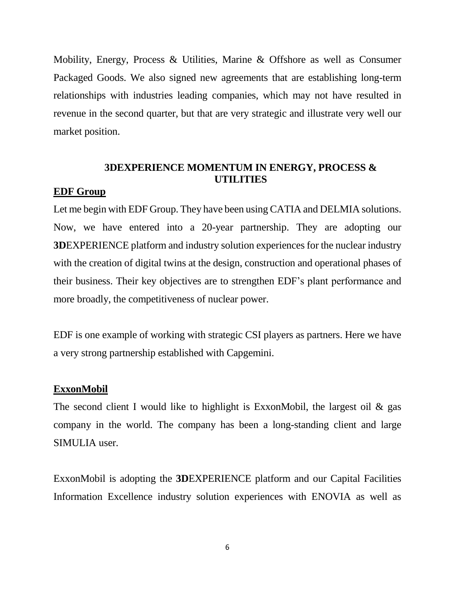Mobility, Energy, Process & Utilities, Marine & Offshore as well as Consumer Packaged Goods. We also signed new agreements that are establishing long-term relationships with industries leading companies, which may not have resulted in revenue in the second quarter, but that are very strategic and illustrate very well our market position.

# **3DEXPERIENCE MOMENTUM IN ENERGY, PROCESS & UTILITIES**

### **EDF Group**

Let me begin with EDF Group. They have been using CATIA and DELMIA solutions. Now, we have entered into a 20-year partnership. They are adopting our **3D**EXPERIENCE platform and industry solution experiences for the nuclear industry with the creation of digital twins at the design, construction and operational phases of their business. Their key objectives are to strengthen EDF's plant performance and more broadly, the competitiveness of nuclear power.

EDF is one example of working with strategic CSI players as partners. Here we have a very strong partnership established with Capgemini.

### **ExxonMobil**

The second client I would like to highlight is ExxonMobil, the largest oil  $\&$  gas company in the world. The company has been a long-standing client and large SIMULIA user.

ExxonMobil is adopting the **3D**EXPERIENCE platform and our Capital Facilities Information Excellence industry solution experiences with ENOVIA as well as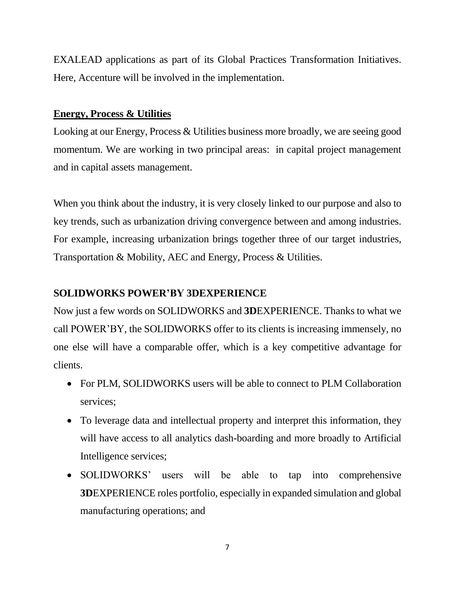EXALEAD applications as part of its Global Practices Transformation Initiatives. Here, Accenture will be involved in the implementation.

## **Energy, Process & Utilities**

Looking at our Energy, Process & Utilities business more broadly, we are seeing good momentum. We are working in two principal areas: in capital project management and in capital assets management.

When you think about the industry, it is very closely linked to our purpose and also to key trends, such as urbanization driving convergence between and among industries. For example, increasing urbanization brings together three of our target industries, Transportation & Mobility, AEC and Energy, Process & Utilities.

# **SOLIDWORKS POWER'BY 3DEXPERIENCE**

Now just a few words on SOLIDWORKS and **3D**EXPERIENCE. Thanks to what we call POWER'BY, the SOLIDWORKS offer to its clients is increasing immensely, no one else will have a comparable offer, which is a key competitive advantage for clients.

- For PLM, SOLIDWORKS users will be able to connect to PLM Collaboration services;
- To leverage data and intellectual property and interpret this information, they will have access to all analytics dash-boarding and more broadly to Artificial Intelligence services;
- SOLIDWORKS' users will be able to tap into comprehensive **3D**EXPERIENCE roles portfolio, especially in expanded simulation and global manufacturing operations; and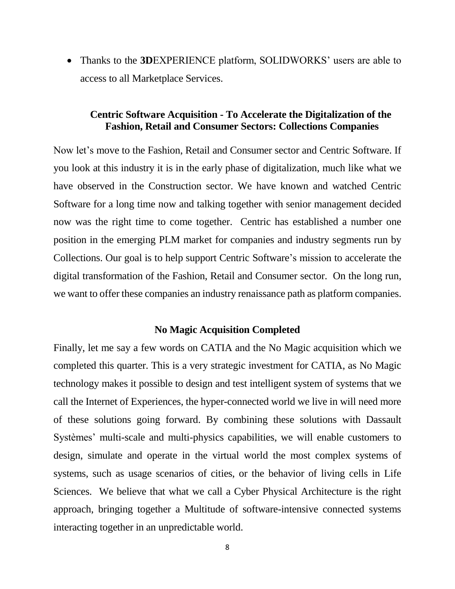Thanks to the **3D**EXPERIENCE platform, SOLIDWORKS' users are able to access to all Marketplace Services.

### **Centric Software Acquisition - To Accelerate the Digitalization of the Fashion, Retail and Consumer Sectors: Collections Companies**

Now let's move to the Fashion, Retail and Consumer sector and Centric Software. If you look at this industry it is in the early phase of digitalization, much like what we have observed in the Construction sector. We have known and watched Centric Software for a long time now and talking together with senior management decided now was the right time to come together. Centric has established a number one position in the emerging PLM market for companies and industry segments run by Collections. Our goal is to help support Centric Software's mission to accelerate the digital transformation of the Fashion, Retail and Consumer sector. On the long run, we want to offer these companies an industry renaissance path as platform companies.

#### **No Magic Acquisition Completed**

Finally, let me say a few words on CATIA and the No Magic acquisition which we completed this quarter. This is a very strategic investment for CATIA, as No Magic technology makes it possible to design and test intelligent system of systems that we call the Internet of Experiences, the hyper-connected world we live in will need more of these solutions going forward. By combining these solutions with Dassault Systèmes' multi-scale and multi-physics capabilities, we will enable customers to design, simulate and operate in the virtual world the most complex systems of systems, such as usage scenarios of cities, or the behavior of living cells in Life Sciences. We believe that what we call a Cyber Physical Architecture is the right approach, bringing together a Multitude of software-intensive connected systems interacting together in an unpredictable world.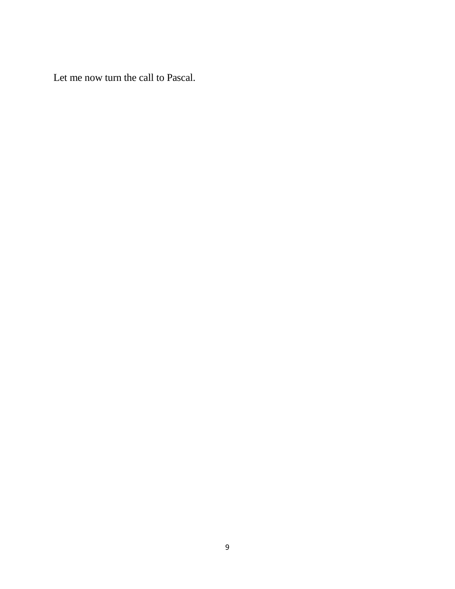Let me now turn the call to Pascal.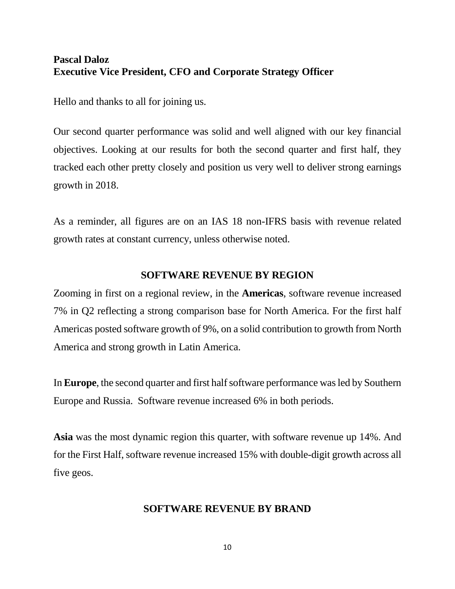# **Pascal Daloz Executive Vice President, CFO and Corporate Strategy Officer**

Hello and thanks to all for joining us.

Our second quarter performance was solid and well aligned with our key financial objectives. Looking at our results for both the second quarter and first half, they tracked each other pretty closely and position us very well to deliver strong earnings growth in 2018.

As a reminder, all figures are on an IAS 18 non-IFRS basis with revenue related growth rates at constant currency, unless otherwise noted.

# **SOFTWARE REVENUE BY REGION**

Zooming in first on a regional review, in the **Americas**, software revenue increased 7% in Q2 reflecting a strong comparison base for North America. For the first half Americas posted software growth of 9%, on a solid contribution to growth from North America and strong growth in Latin America.

In **Europe**, the second quarter and first half software performance was led by Southern Europe and Russia. Software revenue increased 6% in both periods.

**Asia** was the most dynamic region this quarter, with software revenue up 14%. And for the First Half, software revenue increased 15% with double-digit growth across all five geos.

## **SOFTWARE REVENUE BY BRAND**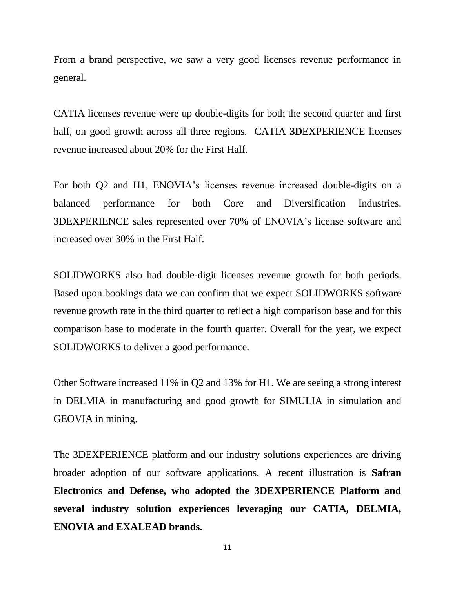From a brand perspective, we saw a very good licenses revenue performance in general.

CATIA licenses revenue were up double-digits for both the second quarter and first half, on good growth across all three regions. CATIA **3D**EXPERIENCE licenses revenue increased about 20% for the First Half.

For both Q2 and H1, ENOVIA's licenses revenue increased double-digits on a balanced performance for both Core and Diversification Industries. 3DEXPERIENCE sales represented over 70% of ENOVIA's license software and increased over 30% in the First Half.

SOLIDWORKS also had double-digit licenses revenue growth for both periods. Based upon bookings data we can confirm that we expect SOLIDWORKS software revenue growth rate in the third quarter to reflect a high comparison base and for this comparison base to moderate in the fourth quarter. Overall for the year, we expect SOLIDWORKS to deliver a good performance.

Other Software increased 11% in Q2 and 13% for H1. We are seeing a strong interest in DELMIA in manufacturing and good growth for SIMULIA in simulation and GEOVIA in mining.

The 3DEXPERIENCE platform and our industry solutions experiences are driving broader adoption of our software applications. A recent illustration is **Safran Electronics and Defense, who adopted the 3DEXPERIENCE Platform and several industry solution experiences leveraging our CATIA, DELMIA, ENOVIA and EXALEAD brands.**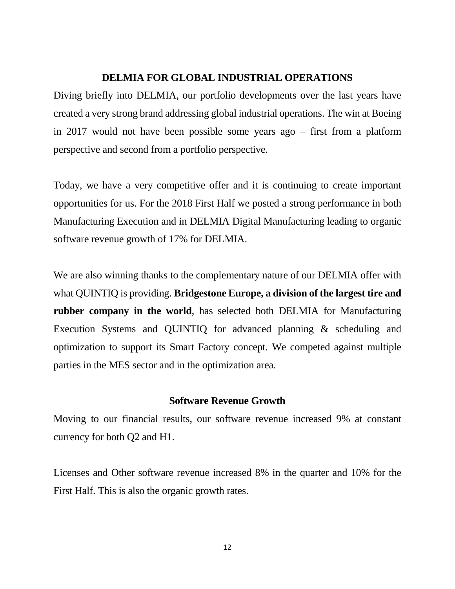#### **DELMIA FOR GLOBAL INDUSTRIAL OPERATIONS**

Diving briefly into DELMIA, our portfolio developments over the last years have created a very strong brand addressing global industrial operations. The win at Boeing in 2017 would not have been possible some years ago – first from a platform perspective and second from a portfolio perspective.

Today, we have a very competitive offer and it is continuing to create important opportunities for us. For the 2018 First Half we posted a strong performance in both Manufacturing Execution and in DELMIA Digital Manufacturing leading to organic software revenue growth of 17% for DELMIA.

We are also winning thanks to the complementary nature of our DELMIA offer with what QUINTIQ is providing. **Bridgestone Europe, a division of the largest tire and rubber company in the world**, has selected both DELMIA for Manufacturing Execution Systems and QUINTIQ for advanced planning & scheduling and optimization to support its Smart Factory concept. We competed against multiple parties in the MES sector and in the optimization area.

#### **Software Revenue Growth**

Moving to our financial results, our software revenue increased 9% at constant currency for both Q2 and H1.

Licenses and Other software revenue increased 8% in the quarter and 10% for the First Half. This is also the organic growth rates.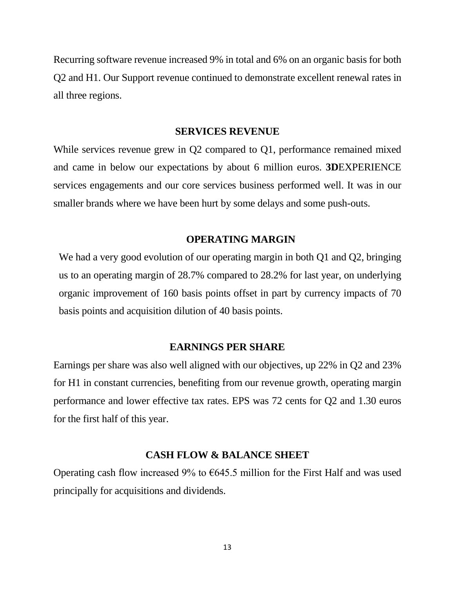Recurring software revenue increased 9% in total and 6% on an organic basis for both Q2 and H1. Our Support revenue continued to demonstrate excellent renewal rates in all three regions.

#### **SERVICES REVENUE**

While services revenue grew in Q2 compared to Q1, performance remained mixed and came in below our expectations by about 6 million euros. **3D**EXPERIENCE services engagements and our core services business performed well. It was in our smaller brands where we have been hurt by some delays and some push-outs.

#### **OPERATING MARGIN**

We had a very good evolution of our operating margin in both Q1 and Q2, bringing us to an operating margin of 28.7% compared to 28.2% for last year, on underlying organic improvement of 160 basis points offset in part by currency impacts of 70 basis points and acquisition dilution of 40 basis points.

#### **EARNINGS PER SHARE**

Earnings per share was also well aligned with our objectives, up 22% in Q2 and 23% for H1 in constant currencies, benefiting from our revenue growth, operating margin performance and lower effective tax rates. EPS was 72 cents for Q2 and 1.30 euros for the first half of this year.

#### **CASH FLOW & BALANCE SHEET**

Operating cash flow increased 9% to  $645.5$  million for the First Half and was used principally for acquisitions and dividends.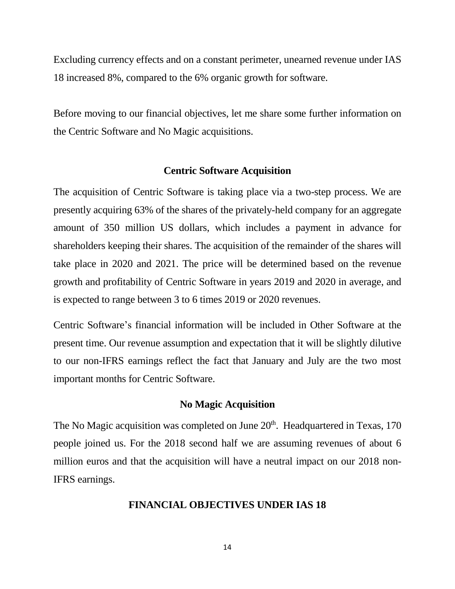Excluding currency effects and on a constant perimeter, unearned revenue under IAS 18 increased 8%, compared to the 6% organic growth for software.

Before moving to our financial objectives, let me share some further information on the Centric Software and No Magic acquisitions.

### **Centric Software Acquisition**

The acquisition of Centric Software is taking place via a two-step process. We are presently acquiring 63% of the shares of the privately-held company for an aggregate amount of 350 million US dollars, which includes a payment in advance for shareholders keeping their shares. The acquisition of the remainder of the shares will take place in 2020 and 2021. The price will be determined based on the revenue growth and profitability of Centric Software in years 2019 and 2020 in average, and is expected to range between 3 to 6 times 2019 or 2020 revenues.

Centric Software's financial information will be included in Other Software at the present time. Our revenue assumption and expectation that it will be slightly dilutive to our non-IFRS earnings reflect the fact that January and July are the two most important months for Centric Software.

#### **No Magic Acquisition**

The No Magic acquisition was completed on June  $20<sup>th</sup>$ . Headquartered in Texas, 170 people joined us. For the 2018 second half we are assuming revenues of about 6 million euros and that the acquisition will have a neutral impact on our 2018 non-IFRS earnings.

#### **FINANCIAL OBJECTIVES UNDER IAS 18**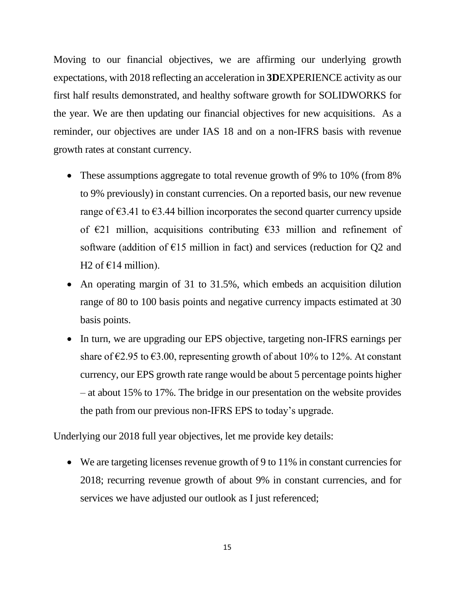Moving to our financial objectives, we are affirming our underlying growth expectations, with 2018 reflecting an acceleration in **3D**EXPERIENCE activity as our first half results demonstrated, and healthy software growth for SOLIDWORKS for the year. We are then updating our financial objectives for new acquisitions. As a reminder, our objectives are under IAS 18 and on a non-IFRS basis with revenue growth rates at constant currency.

- These assumptions aggregate to total revenue growth of 9% to 10% (from 8%) to 9% previously) in constant currencies. On a reported basis, our new revenue range of  $\epsilon$ 3.41 to  $\epsilon$ 3.44 billion incorporates the second quarter currency upside of  $E$ 21 million, acquisitions contributing  $E$ 33 million and refinement of software (addition of  $E15$  million in fact) and services (reduction for Q2 and H2 of  $\epsilon$ 14 million).
- An operating margin of 31 to 31.5%, which embeds an acquisition dilution range of 80 to 100 basis points and negative currency impacts estimated at 30 basis points.
- In turn, we are upgrading our EPS objective, targeting non-IFRS earnings per share of  $\epsilon$ 2.95 to  $\epsilon$ 3.00, representing growth of about 10% to 12%. At constant currency, our EPS growth rate range would be about 5 percentage points higher – at about 15% to 17%. The bridge in our presentation on the website provides the path from our previous non-IFRS EPS to today's upgrade.

Underlying our 2018 full year objectives, let me provide key details:

 We are targeting licenses revenue growth of 9 to 11% in constant currencies for 2018; recurring revenue growth of about 9% in constant currencies, and for services we have adjusted our outlook as I just referenced;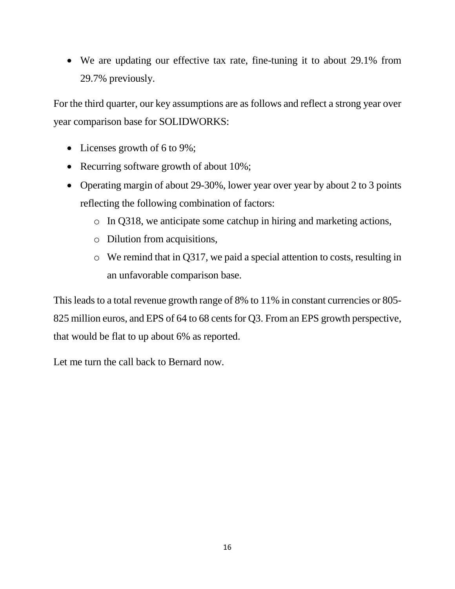We are updating our effective tax rate, fine-tuning it to about 29.1% from 29.7% previously.

For the third quarter, our key assumptions are as follows and reflect a strong year over year comparison base for SOLIDWORKS:

- Licenses growth of 6 to 9%;
- Recurring software growth of about 10%;
- Operating margin of about 29-30%, lower year over year by about 2 to 3 points reflecting the following combination of factors:
	- o In Q318, we anticipate some catchup in hiring and marketing actions,
	- o Dilution from acquisitions,
	- o We remind that in Q317, we paid a special attention to costs, resulting in an unfavorable comparison base.

This leads to a total revenue growth range of 8% to 11% in constant currencies or 805- 825 million euros, and EPS of 64 to 68 cents for Q3. From an EPS growth perspective, that would be flat to up about 6% as reported.

Let me turn the call back to Bernard now.